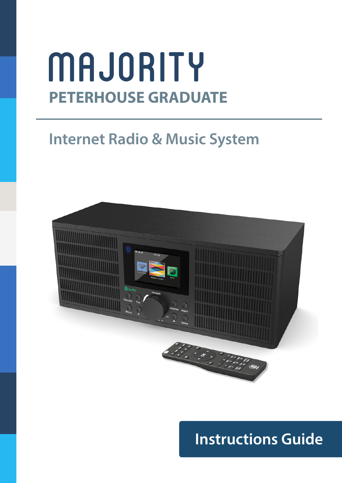## MAJORITY **PETERHOUSE GRADUATE**

### **Internet Radio & Music System**



## **Instructions Guide**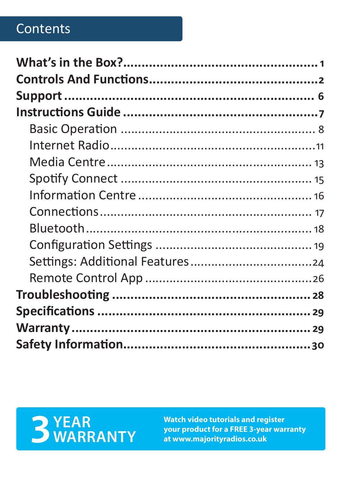#### Contents

# **3** YEAR<br>**SWARRANTY**

Watch video tutorials and register your product for a FREE 3-year warranty at www.majorityradios.co.uk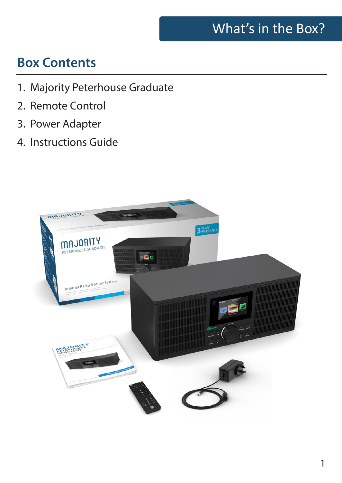#### What's in the Box?

#### **Box Contents**

- 1. Majority Peterhouse Graduate
- 2. Remote Control
- 3. Power Adapter
- 4. Instructions Guide

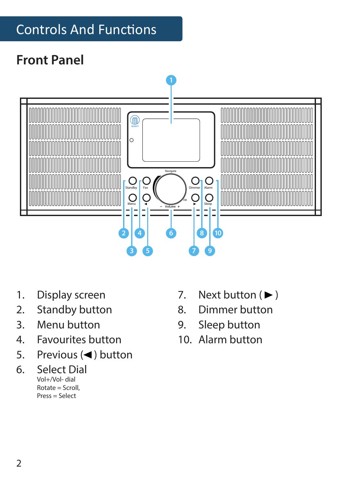### Controls And Functions

#### **Front Panel**



- 1. Display screen
- 2. Standby button
- 3. Menu button
- 4. Favourites button
- 5. Previous  $($ **(** $)$  button
- 6. Select Dial Vol+/Vol- dial Rotate = Scroll, Press = Select
- 7. Next button  $(\blacktriangleright)$
- 8. Dimmer button
- 9. Sleep button
- 10. Alarm button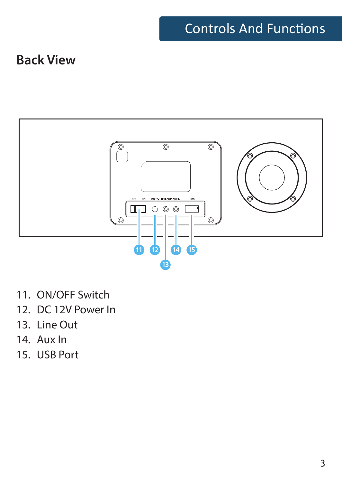#### Controls And Functions

#### **Back View**



- 11. ON/OFF Switch
- 12. DC 12V Power In
- 13. Line Out
- 14. Aux In
- 15. USB Port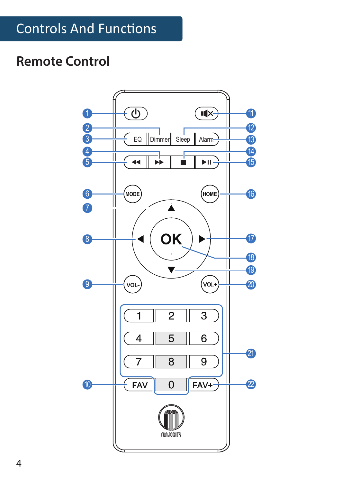#### **Remote Control**

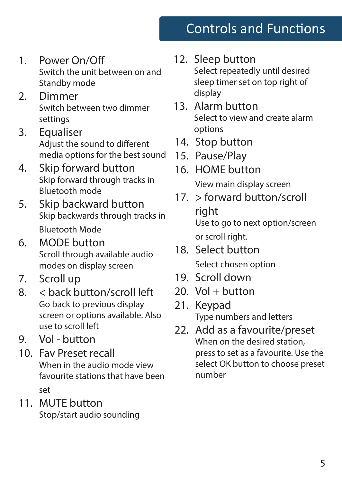## Controls and Functions

- 1. Power On/Off Switch the unit between on and Standby mode
- 2. Dimmer Switch between two dimmer settings
- 3. Equaliser Adjust the sound to different media options for the best sound
- 4. Skip forward button Skip forward through tracks in Bluetooth mode
- 5. Skip backward button Skip backwards through tracks in Bluetooth Mode
- 6. MODE button Scroll through available audio modes on display screen
- 7. Scroll up
- 8. < back button/scroll left Go back to previous display screen or options available. Also use to scroll left
- 9. Vol button
- 10. Fav Preset recall When in the audio mode view favourite stations that have been set
- 11. MUTE button Stop/start audio sounding

#### 12. Sleep button

Select repeatedly until desired sleep timer set on top right of display

- 13. Alarm button Select to view and create alarm options
- 14. Stop button
- 15. Pause/Play
- 16. HOME button View main display screen
- 17. > forward button/scroll right Use to go to next option/screen or scroll right.
- 18. Select button Select chosen option
- 19. Scroll down
- $20.$  Vol  $+$  button
- 21. Keypad Type numbers and letters
- 22. Add as a favourite/preset When on the desired station. press to set as a favourite. Use the select OK button to choose preset number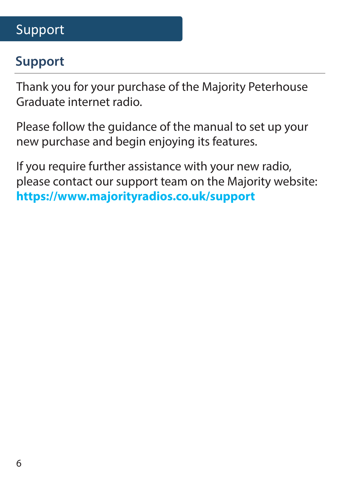#### Support

#### **Support**

Thank you for your purchase of the Majority Peterhouse Graduate internet radio.

Please follow the guidance of the manual to set up your new purchase and begin enjoying its features.

If you require further assistance with your new radio, please contact our support team on the Majority website: **https://www.majorityradios.co.uk/support**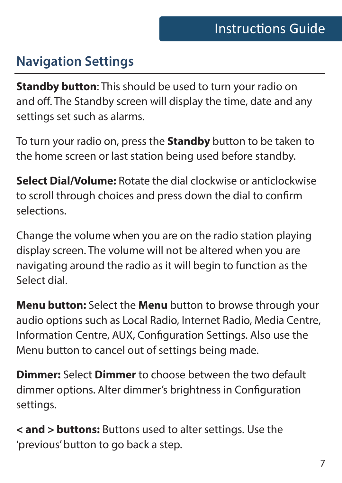#### **Navigation Settings**

**Standby button**: This should be used to turn your radio on and off. The Standby screen will display the time, date and any settings set such as alarms.

To turn your radio on, press the **Standby** button to be taken to the home screen or last station being used before standby.

**Select Dial/Volume:** Rotate the dial clockwise or anticlockwise to scroll through choices and press down the dial to confirm selections.

Change the volume when you are on the radio station playing display screen. The volume will not be altered when you are navigating around the radio as it will begin to function as the Select dial.

**Menu button:** Select the **Menu** button to browse through your audio options such as Local Radio, Internet Radio, Media Centre, Information Centre, AUX, Configuration Settings. Also use the Menu button to cancel out of settings being made.

**Dimmer:** Select **Dimmer** to choose between the two default dimmer options. Alter dimmer's brightness in Configuration settings.

**< and > buttons:** Buttons used to alter settings. Use the 'previous' button to go back a step.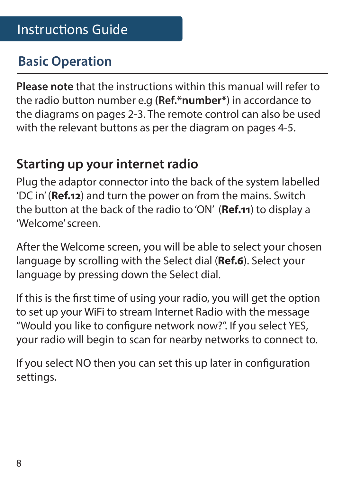#### **Basic Operation**

**Please note** that the instructions within this manual will refer to the radio button number e.g **(Ref.\*number\***) in accordance to the diagrams on pages 2-3. The remote control can also be used with the relevant buttons as per the diagram on pages 4-5.

#### **Starting up your internet radio**

Plug the adaptor connector into the back of the system labelled 'DC in' (**Ref.12**) and turn the power on from the mains. Switch the button at the back of the radio to 'ON' (**Ref.11**) to display a 'Welcome' screen.

After the Welcome screen, you will be able to select your chosen language by scrolling with the Select dial (**Ref.6**). Select your language by pressing down the Select dial.

If this is the first time of using your radio, you will get the option to set up your WiFi to stream Internet Radio with the message "Would you like to configure network now?". If you select YES, your radio will begin to scan for nearby networks to connect to.

If you select NO then you can set this up later in configuration settings.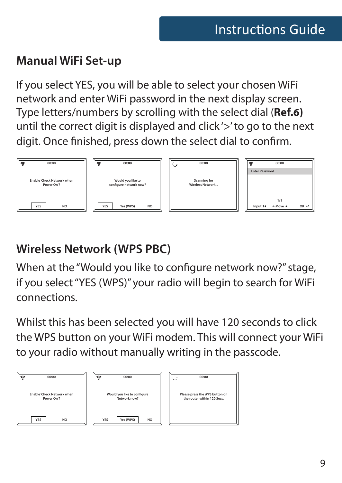#### **Manual WiFi Set-up**

If you select YES, you will be able to select your chosen WiFi network and enter WiFi password in the next display screen. Type letters/numbers by scrolling with the select dial (**Ref.6)**  until the correct digit is displayed and click '>' to go to the next digit. Once finished, press down the select dial to confirm.



#### **Wireless Network (WPS PBC)**

When at the "Would you like to configure network now?" stage, if you select "YES (WPS)" your radio will begin to search for WiFi connections.

Whilst this has been selected you will have 120 seconds to click the WPS button on your WiFi modem. This will connect your WiFi to your radio without manually writing in the passcode.

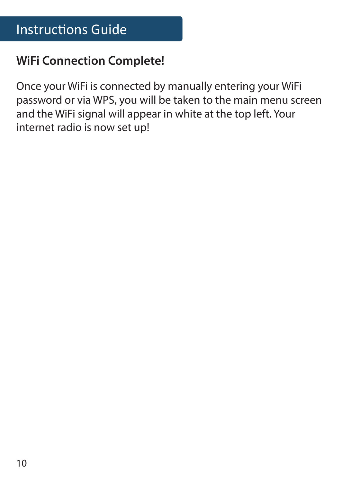#### **WiFi Connection Complete!**

Once your WiFi is connected by manually entering your WiFi password or via WPS, you will be taken to the main menu screen and the WiFi signal will appear in white at the top left. Your internet radio is now set up!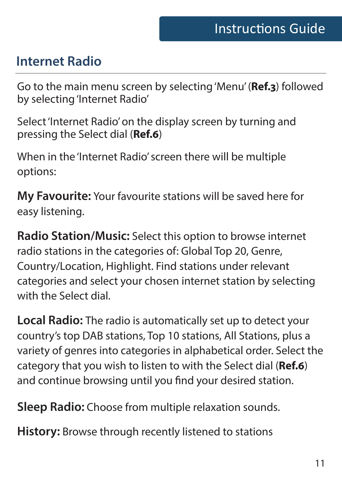#### **Internet Radio**

Go to the main menu screen by selecting 'Menu' (**Ref.3**) followed by selecting 'Internet Radio'

Select 'Internet Radio' on the display screen by turning and pressing the Select dial (**Ref.6**)

When in the 'Internet Radio' screen there will be multiple options:

**My Favourite:** Your favourite stations will be saved here for easy listening.

**Radio Station/Music:** Select this option to browse internet radio stations in the categories of: Global Top 20, Genre, Country/Location, Highlight. Find stations under relevant categories and select your chosen internet station by selecting with the Select dial.

**Local Radio:** The radio is automatically set up to detect your country's top DAB stations, Top 10 stations, All Stations, plus a variety of genres into categories in alphabetical order. Select the category that you wish to listen to with the Select dial (**Ref.6**) and continue browsing until you find your desired station.

**Sleep Radio:** Choose from multiple relaxation sounds.

**History:** Browse through recently listened to stations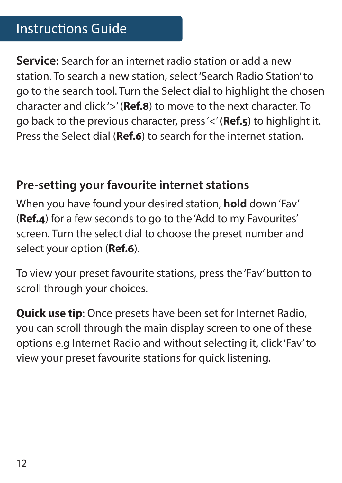#### Instructions Guide

**Service:** Search for an internet radio station or add a new station. To search a new station, select 'Search Radio Station' to go to the search tool. Turn the Select dial to highlight the chosen character and click '>' (**Ref.8**) to move to the next character. To go back to the previous character, press '<' (**Ref.5**) to highlight it. Press the Select dial (**Ref.6**) to search for the internet station.

#### **Pre-setting your favourite internet stations**

When you have found your desired station, **hold** down 'Fav' (**Ref.4**) for a few seconds to go to the 'Add to my Favourites' screen. Turn the select dial to choose the preset number and select your option (**Ref.6**).

To view your preset favourite stations, press the 'Fav' button to scroll through your choices.

**Quick use tip**: Once presets have been set for Internet Radio, you can scroll through the main display screen to one of these options e.g Internet Radio and without selecting it, click 'Fav' to view your preset favourite stations for quick listening.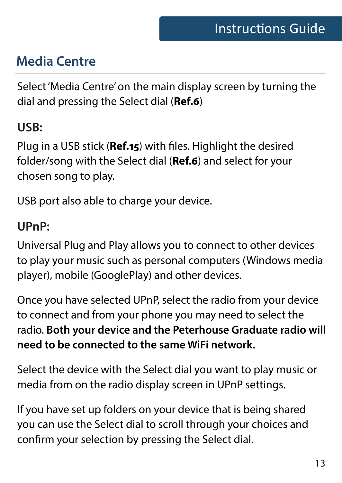#### **Media Centre**

Select 'Media Centre' on the main display screen by turning the dial and pressing the Select dial (**Ref.6**)

#### **USB:**

Plug in a USB stick (**Ref.15**) with files. Highlight the desired folder/song with the Select dial (**Ref.6**) and select for your chosen song to play.

USB port also able to charge your device.

#### **UPnP:**

Universal Plug and Play allows you to connect to other devices to play your music such as personal computers (Windows media player), mobile (GooglePlay) and other devices.

Once you have selected UPnP, select the radio from your device to connect and from your phone you may need to select the radio. **Both your device and the Peterhouse Graduate radio will need to be connected to the same WiFi network.**

Select the device with the Select dial you want to play music or media from on the radio display screen in UPnP settings.

If you have set up folders on your device that is being shared you can use the Select dial to scroll through your choices and confirm your selection by pressing the Select dial.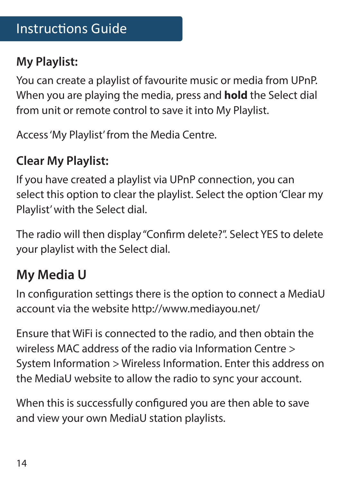#### Instructions Guide

#### **My Playlist:**

You can create a playlist of favourite music or media from UPnP. When you are playing the media, press and **hold** the Select dial from unit or remote control to save it into My Playlist.

Access 'My Playlist' from the Media Centre.

#### **Clear My Playlist:**

If you have created a playlist via UPnP connection, you can select this option to clear the playlist. Select the option 'Clear my Playlist' with the Select dial.

The radio will then display "Confirm delete?". Select YES to delete your playlist with the Select dial.

#### **My Media U**

In configuration settings there is the option to connect a MediaU account via the website http://www.mediayou.net/

Ensure that WiFi is connected to the radio, and then obtain the wireless MAC address of the radio via Information Centre > System Information > Wireless Information. Enter this address on the MediaU website to allow the radio to sync your account.

When this is successfully configured you are then able to save and view your own MediaU station playlists.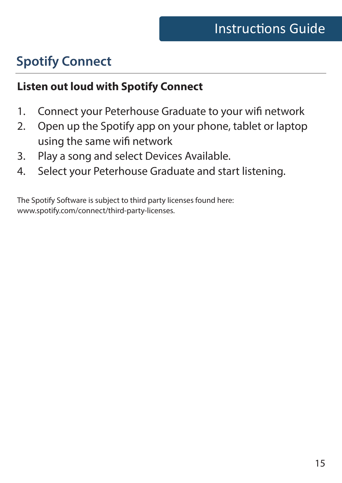### **Spotify Connect**

#### **Listen out loud with Spotify Connect**

- 1. Connect your Peterhouse Graduate to your wifi network
- 2. Open up the Spotify app on your phone, tablet or laptop using the same wifi network
- 3. Play a song and select Devices Available.
- 4. Select your Peterhouse Graduate and start listening.

The Spotify Software is subject to third party licenses found here: www.spotify.com/connect/third-party-licenses.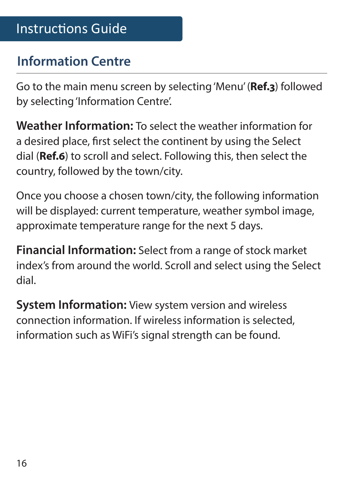#### **Information Centre**

Go to the main menu screen by selecting 'Menu' (**Ref.3**) followed by selecting 'Information Centre'.

**Weather Information:** To select the weather information for a desired place, first select the continent by using the Select dial (**Ref.6**) to scroll and select. Following this, then select the country, followed by the town/city.

Once you choose a chosen town/city, the following information will be displayed: current temperature, weather symbol image, approximate temperature range for the next 5 days.

**Financial Information:** Select from a range of stock market index's from around the world. Scroll and select using the Select dial.

**System Information:** View system version and wireless connection information. If wireless information is selected, information such as WiFi's signal strength can be found.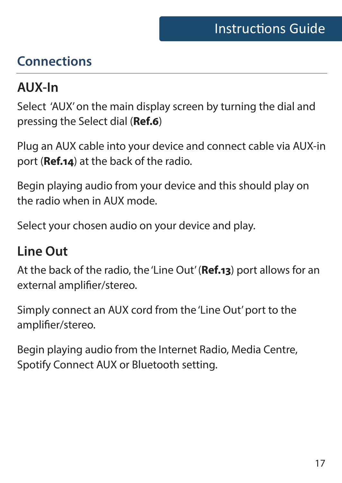#### **Connections**

#### **AUX-In**

Select 'AUX' on the main display screen by turning the dial and pressing the Select dial (**Ref.6**)

Plug an AUX cable into your device and connect cable via AUX-in port (**Ref.14**) at the back of the radio.

Begin playing audio from your device and this should play on the radio when in AUX mode.

Select your chosen audio on your device and play.

#### **Line Out**

At the back of the radio, the 'Line Out' (**Ref.13**) port allows for an external amplifier/stereo.

Simply connect an AUX cord from the 'Line Out' port to the amplifier/stereo.

Begin playing audio from the Internet Radio, Media Centre, Spotify Connect AUX or Bluetooth setting.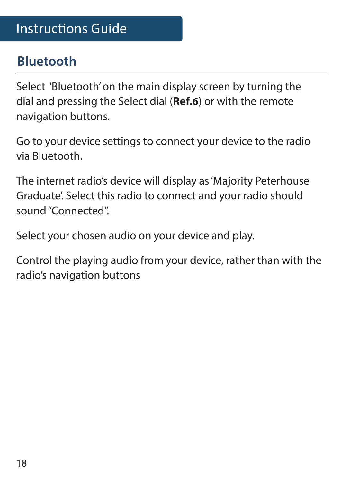#### **Bluetooth**

Select 'Bluetooth' on the main display screen by turning the dial and pressing the Select dial (**Ref.6**) or with the remote navigation buttons.

Go to your device settings to connect your device to the radio via Bluetooth.

The internet radio's device will display as 'Majority Peterhouse Graduate'. Select this radio to connect and your radio should sound "Connected".

Select your chosen audio on your device and play.

Control the playing audio from your device, rather than with the radio's navigation buttons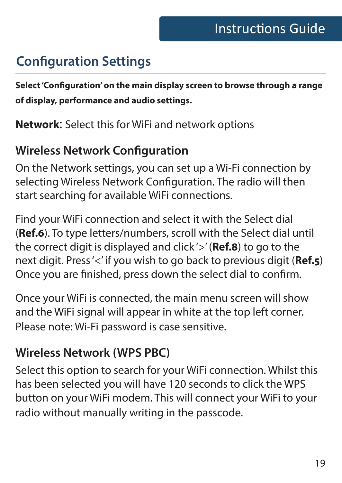#### **Configuration Settings**

**Select 'Configuration' on the main display screen to browse through a range of display, performance and audio settings.** 

**Network**: Select this for WiFi and network options

#### **Wireless Network Configuration**

On the Network settings, you can set up a Wi-Fi connection by selecting Wireless Network Configuration. The radio will then start searching for available WiFi connections.

Find your WiFi connection and select it with the Select dial (**Ref.6**). To type letters/numbers, scroll with the Select dial until the correct digit is displayed and click '>' (**Ref.8**) to go to the next digit. Press '<' if you wish to go back to previous digit (**Ref.5**) Once you are finished, press down the select dial to confirm.

Once your WiFi is connected, the main menu screen will show and the WiFi signal will appear in white at the top left corner. Please note: Wi-Fi password is case sensitive.

#### **Wireless Network (WPS PBC)**

Select this option to search for your WiFi connection. Whilst this has been selected you will have 120 seconds to click the WPS button on your WiFi modem. This will connect your WiFi to your radio without manually writing in the passcode.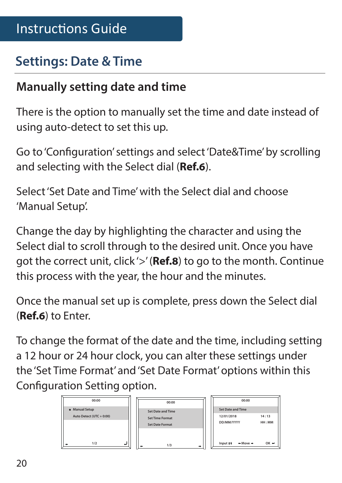#### **Settings: Date & Time**

#### **Manually setting date and time**

There is the option to manually set the time and date instead of using auto-detect to set this up.

Go to 'Configuration' settings and select 'Date&Time' by scrolling and selecting with the Select dial (**Ref.6**).

Select 'Set Date and Time' with the Select dial and choose 'Manual Setup'.

Change the day by highlighting the character and using the Select dial to scroll through to the desired unit. Once you have got the correct unit, click '>' (**Ref.8**) to go to the month. Continue this process with the year, the hour and the minutes.

Once the manual set up is complete, press down the Select dial (**Ref.6**) to Enter.

To change the format of the date and the time, including setting a 12 hour or 24 hour clock, you can alter these settings under the 'Set Time Format' and 'Set Date Format' options within this Configuration Setting option.

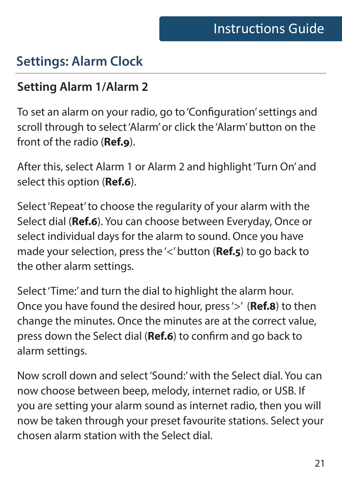#### **Settings: Alarm Clock**

#### **Setting Alarm 1/Alarm 2**

To set an alarm on your radio, go to 'Configuration' settings and scroll through to select 'Alarm' or click the 'Alarm' button on the front of the radio (**Ref.9**).

After this, select Alarm 1 or Alarm 2 and highlight 'Turn On' and select this option (**Ref.6**).

Select 'Repeat' to choose the regularity of your alarm with the Select dial (**Ref.6**). You can choose between Everyday, Once or select individual days for the alarm to sound. Once you have made your selection, press the '<' button (**Ref.5**) to go back to the other alarm settings.

Select 'Time:' and turn the dial to highlight the alarm hour. Once you have found the desired hour, press '>' (**Ref.8**) to then change the minutes. Once the minutes are at the correct value, press down the Select dial (**Ref.6**) to confirm and go back to alarm settings.

Now scroll down and select 'Sound:' with the Select dial. You can now choose between beep, melody, internet radio, or USB. If you are setting your alarm sound as internet radio, then you will now be taken through your preset favourite stations. Select your chosen alarm station with the Select dial.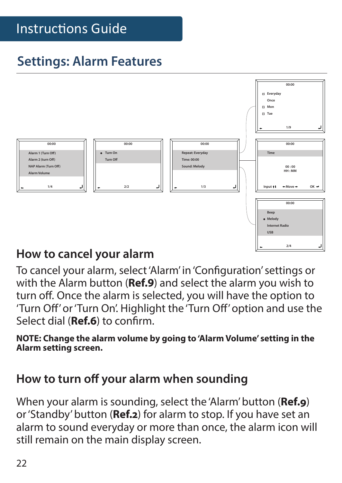#### Instructions Guide

#### **Settings: Alarm Features**



#### **How to cancel your alarm**

To cancel your alarm, select 'Alarm' in 'Configuration' settings or with the Alarm button (**Ref.9**) and select the alarm you wish to turn off. Once the alarm is selected, you will have the option to 'Turn Off' or 'Turn On'. Highlight the 'Turn Off' option and use the Select dial (**Ref.6**) to confirm.

**NOTE: Change the alarm volume by going to 'Alarm Volume' setting in the Alarm setting screen.**

#### **How to turn off your alarm when sounding**

When your alarm is sounding, select the 'Alarm' button (**Ref.9**) or 'Standby' button (**Ref.2**) for alarm to stop. If you have set an alarm to sound everyday or more than once, the alarm icon will still remain on the main display screen.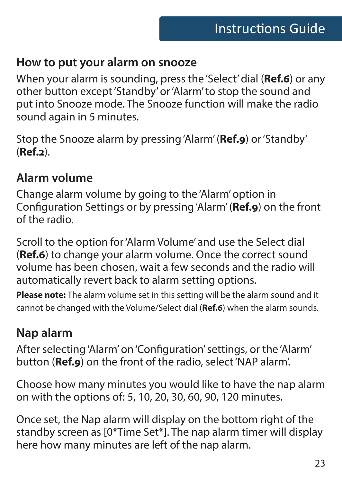#### **How to put your alarm on snooze**

When your alarm is sounding, press the 'Select' dial (**Ref.6**) or any other button except 'Standby' or 'Alarm' to stop the sound and put into Snooze mode. The Snooze function will make the radio sound again in 5 minutes.

Stop the Snooze alarm by pressing 'Alarm' (**Ref.9**) or 'Standby' (**Ref.2**).

#### **Alarm volume**

Change alarm volume by going to the 'Alarm' option in Configuration Settings or by pressing 'Alarm' (**Ref.9**) on the front of the radio.

Scroll to the option for 'Alarm Volume' and use the Select dial (**Ref.6**) to change your alarm volume. Once the correct sound volume has been chosen, wait a few seconds and the radio will automatically revert back to alarm setting options.

**Please note:** The alarm volume set in this setting will be the alarm sound and it cannot be changed with the Volume/Select dial (**Ref.6**) when the alarm sounds.

#### **Nap alarm**

After selecting 'Alarm' on 'Configuration' settings, or the 'Alarm' button (**Ref.9**) on the front of the radio, select 'NAP alarm'.

Choose how many minutes you would like to have the nap alarm on with the options of: 5, 10, 20, 30, 60, 90, 120 minutes.

Once set, the Nap alarm will display on the bottom right of the standby screen as [0\*Time Set\*]. The nap alarm timer will display here how many minutes are left of the nap alarm.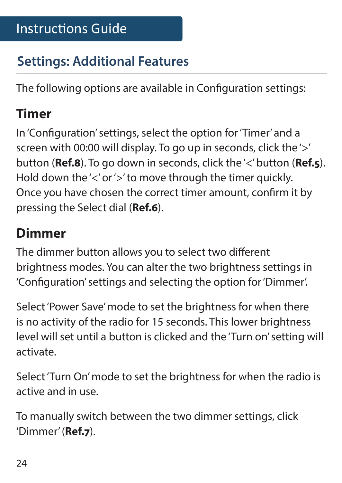#### **Settings: Additional Features**

The following options are available in Configuration settings:

#### **Timer**

In 'Configuration' settings, select the option for 'Timer' and a screen with 00:00 will display. To go up in seconds, click the '>' button (**Ref.8**). To go down in seconds, click the '<' button (**Ref.5**). Hold down the '<' or '>' to move through the timer quickly. Once you have chosen the correct timer amount, confirm it by pressing the Select dial (**Ref.6**).

#### **Dimmer**

The dimmer button allows you to select two different brightness modes. You can alter the two brightness settings in 'Configuration' settings and selecting the option for 'Dimmer'.

Select 'Power Save' mode to set the brightness for when there is no activity of the radio for 15 seconds. This lower brightness level will set until a button is clicked and the 'Turn on' setting will activate.

Select 'Turn On' mode to set the brightness for when the radio is active and in use.

To manually switch between the two dimmer settings, click 'Dimmer' (**Ref.7**).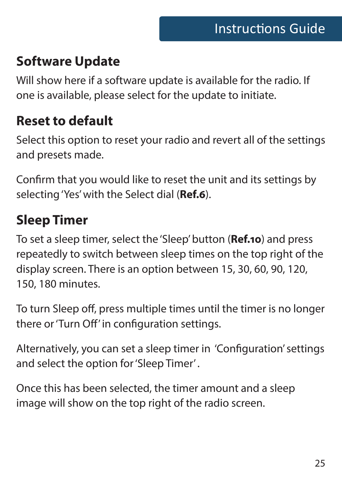#### **Software Update**

Will show here if a software update is available for the radio. If one is available, please select for the update to initiate.

#### **Reset to default**

Select this option to reset your radio and revert all of the settings and presets made.

Confirm that you would like to reset the unit and its settings by selecting 'Yes' with the Select dial (**Ref.6**).

#### **Sleep Timer**

To set a sleep timer, select the 'Sleep' button (**Ref.10**) and press repeatedly to switch between sleep times on the top right of the display screen. There is an option between 15, 30, 60, 90, 120, 150, 180 minutes.

To turn Sleep off, press multiple times until the timer is no longer there or 'Turn Off' in configuration settings.

Alternatively, you can set a sleep timer in 'Configuration' settings and select the option for 'Sleep Timer' .

Once this has been selected, the timer amount and a sleep image will show on the top right of the radio screen.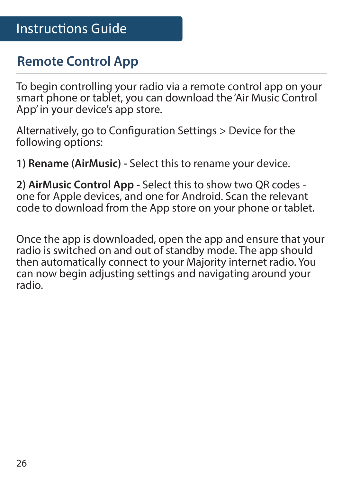#### **Remote Control App**

To begin controlling your radio via a remote control app on your smart phone or tablet, you can download the 'Air Music Control App' in your device's app store.

Alternatively, go to Configuration Settings > Device for the following options:

**1) Rename (AirMusic) -** Select this to rename your device.

**2) AirMusic Control App -** Select this to show two QR codes one for Apple devices, and one for Android. Scan the relevant code to download from the App store on your phone or tablet.

Once the app is downloaded, open the app and ensure that your radio is switched on and out of standby mode. The app should then automatically connect to your Majority internet radio. You can now begin adjusting settings and navigating around your radio.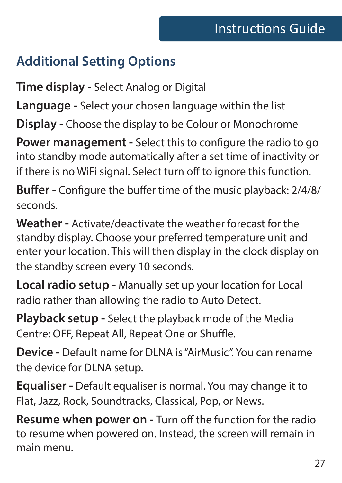#### **Additional Setting Options**

**Time display -** Select Analog or Digital

**Language -** Select your chosen language within the list

**Display -** Choose the display to be Colour or Monochrome

**Power management -** Select this to configure the radio to go into standby mode automatically after a set time of inactivity or if there is no WiFi signal. Select turn off to ignore this function.

**Buffer -** Configure the buffer time of the music playback: 2/4/8/ seconds.

**Weather -** Activate/deactivate the weather forecast for the standby display. Choose your preferred temperature unit and enter your location. This will then display in the clock display on the standby screen every 10 seconds.

**Local radio setup -** Manually set up your location for Local radio rather than allowing the radio to Auto Detect.

**Playback setup -** Select the playback mode of the Media Centre: OFF, Repeat All, Repeat One or Shuffle.

**Device -** Default name for DLNA is "AirMusic". You can rename the device for DLNA setup.

**Equaliser -** Default equaliser is normal. You may change it to Flat, Jazz, Rock, Soundtracks, Classical, Pop, or News.

**Resume when power on -** Turn off the function for the radio to resume when powered on. Instead, the screen will remain in main menu.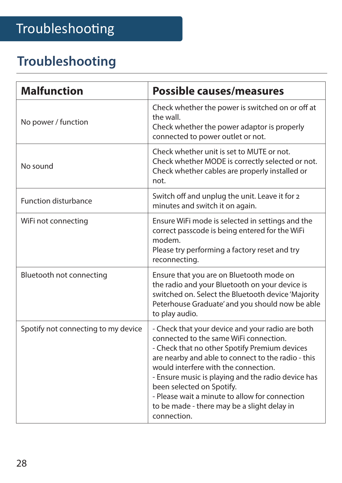#### **Troubleshooting**

| <b>Malfunction</b>                  | Possible causes/measures                                                                                                                                                                                                                                                                                                                                                                                                                     |
|-------------------------------------|----------------------------------------------------------------------------------------------------------------------------------------------------------------------------------------------------------------------------------------------------------------------------------------------------------------------------------------------------------------------------------------------------------------------------------------------|
| No power / function                 | Check whether the power is switched on or off at<br>the wall.<br>Check whether the power adaptor is properly<br>connected to power outlet or not.                                                                                                                                                                                                                                                                                            |
| No sound                            | Check whether unit is set to MUTE or not.<br>Check whether MODE is correctly selected or not.<br>Check whether cables are properly installed or<br>not.                                                                                                                                                                                                                                                                                      |
| <b>Function disturbance</b>         | Switch off and unplug the unit. Leave it for 2<br>minutes and switch it on again.                                                                                                                                                                                                                                                                                                                                                            |
| WiFi not connecting                 | Ensure WiFi mode is selected in settings and the<br>correct passcode is being entered for the WiFi<br>modem.<br>Please try performing a factory reset and try<br>reconnecting.                                                                                                                                                                                                                                                               |
| Bluetooth not connecting            | Ensure that you are on Bluetooth mode on<br>the radio and your Bluetooth on your device is<br>switched on. Select the Bluetooth device 'Majority<br>Peterhouse Graduate' and you should now be able<br>to play audio.                                                                                                                                                                                                                        |
| Spotify not connecting to my device | - Check that your device and your radio are both<br>connected to the same WiFi connection.<br>- Check that no other Spotify Premium devices<br>are nearby and able to connect to the radio - this<br>would interfere with the connection.<br>- Ensure music is playing and the radio device has<br>been selected on Spotify.<br>- Please wait a minute to allow for connection<br>to be made - there may be a slight delay in<br>connection. |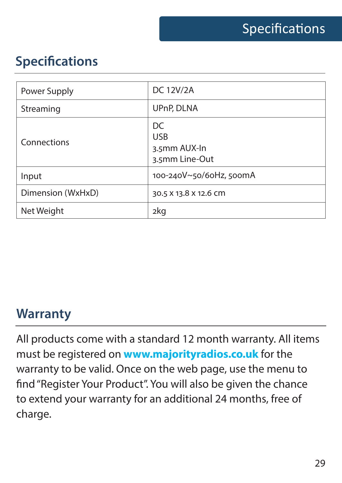#### **Specifications**

| Power Supply      | <b>DC 12V/2A</b>                                   |
|-------------------|----------------------------------------------------|
| Streaming         | UPnP, DLNA                                         |
| Connections       | DC<br><b>USB</b><br>3.5mm AUX-In<br>3.5mm Line-Out |
| Input             | 100-240V~50/60Hz, 500mA                            |
| Dimension (WxHxD) | 30.5 X 13.8 X 12.6 CM                              |
| Net Weight        | 2kg                                                |

#### **Warranty**

All products come with a standard 12 month warranty. All items must be registered on **www.majorityradios.co.uk** for the warranty to be valid. Once on the web page, use the menu to find "Register Your Product". You will also be given the chance to extend your warranty for an additional 24 months, free of charge.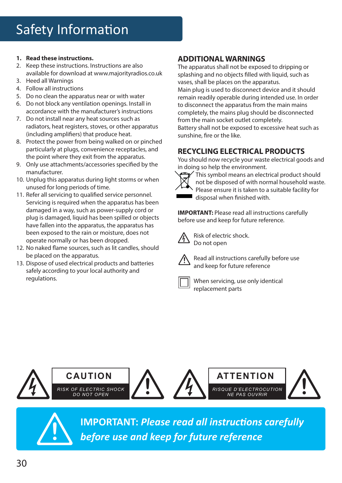#### **1. Read these instructions.**

- 2. Keep these instructions. Instructions are also available for download at www.majorityradios.co.uk
- 3. Heed all Warnings
- 4. Follow all instructions
- 5. Do no clean the apparatus near or with water
- 6. Do not block any ventilation openings. Install in accordance with the manufacturer's instructions
- 7. Do not install near any heat sources such as radiators, heat registers, stoves, or other apparatus (including amplifiers) that produce heat.
- 8. Protect the power from being walked on or pinched particularly at plugs, convenience receptacles, and the point where they exit from the apparatus.
- 9. Only use attachments/accessories specified by the manufacturer.
- 10. Unplug this apparatus during light storms or when unused for long periods of time.
- 11. Refer all servicing to qualified service personnel. Servicing is required when the apparatus has been damaged in a way, such as power-supply cord or plug is damaged, liquid has been spilled or objects have fallen into the apparatus, the apparatus has been exposed to the rain or moisture, does not operate normally or has been dropped.
- 12. No naked flame sources, such as lit candles, should be placed on the apparatus.
- 13. Dispose of used electrical products and batteries safely according to your local authority and regulations.

#### **ADDITIONAL WARNINGS**

The apparatus shall not be exposed to dripping or splashing and no objects filled with liquid, such as vases, shall be places on the apparatus. Main plug is used to disconnect device and it should remain readily operable during intended use. In order to disconnect the apparatus from the main mains completely, the mains plug should be disconnected from the main socket outlet completely.

Battery shall not be exposed to excessive heat such as sunshine, fire or the like.

#### **RECYCLING ELECTRICAL PRODUCTS**

You should now recycle your waste electrical goods and in doing so help the environment.



This symbol means an electrical product should not be disposed of with normal household waste. Please ensure it is taken to a suitable facility for disposal when finished with.

**IMPORTANT:** Please read all instructions carefully before use and keep for future reference.



Risk of electric shock. Do not open



Read all instructions carefully before use and keep for future reference



When servicing, use only identical replacement parts





**IMPORTANT:** *Please read all instructions carefully* **!** *before use and keep for future reference*